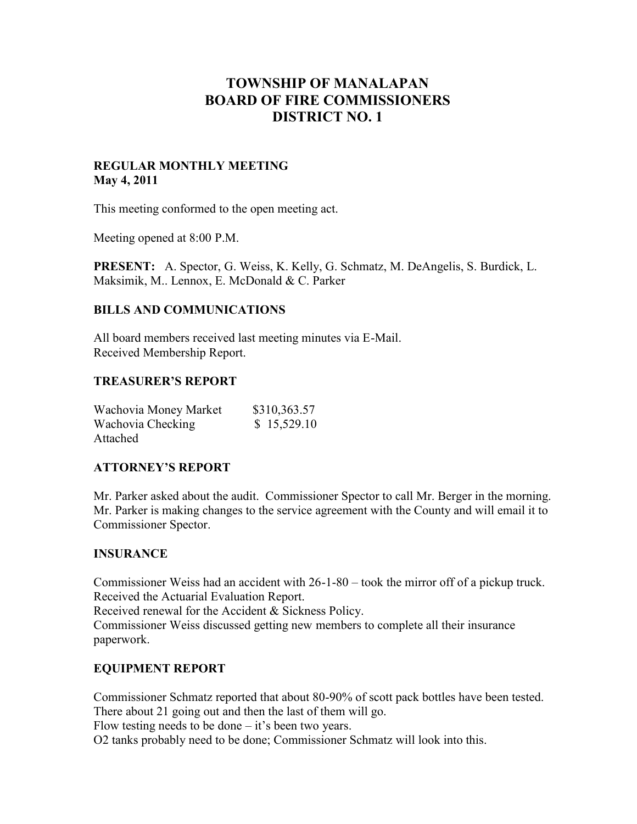# **TOWNSHIP OF MANALAPAN BOARD OF FIRE COMMISSIONERS DISTRICT NO. 1**

### **REGULAR MONTHLY MEETING May 4, 2011**

This meeting conformed to the open meeting act.

Meeting opened at 8:00 P.M.

**PRESENT:** A. Spector, G. Weiss, K. Kelly, G. Schmatz, M. DeAngelis, S. Burdick, L. Maksimik, M.. Lennox, E. McDonald & C. Parker

### **BILLS AND COMMUNICATIONS**

All board members received last meeting minutes via E-Mail. Received Membership Report.

### **TREASURER'S REPORT**

| Wachovia Money Market | \$310,363.57 |
|-----------------------|--------------|
| Wachovia Checking     | \$15,529.10  |
| Attached              |              |

### **ATTORNEY'S REPORT**

Mr. Parker asked about the audit. Commissioner Spector to call Mr. Berger in the morning. Mr. Parker is making changes to the service agreement with the County and will email it to Commissioner Spector.

### **INSURANCE**

Commissioner Weiss had an accident with 26-1-80 – took the mirror off of a pickup truck. Received the Actuarial Evaluation Report.

Received renewal for the Accident & Sickness Policy.

Commissioner Weiss discussed getting new members to complete all their insurance paperwork.

# **EQUIPMENT REPORT**

Commissioner Schmatz reported that about 80-90% of scott pack bottles have been tested. There about 21 going out and then the last of them will go.

Flow testing needs to be done  $-$  it's been two years.

O2 tanks probably need to be done; Commissioner Schmatz will look into this.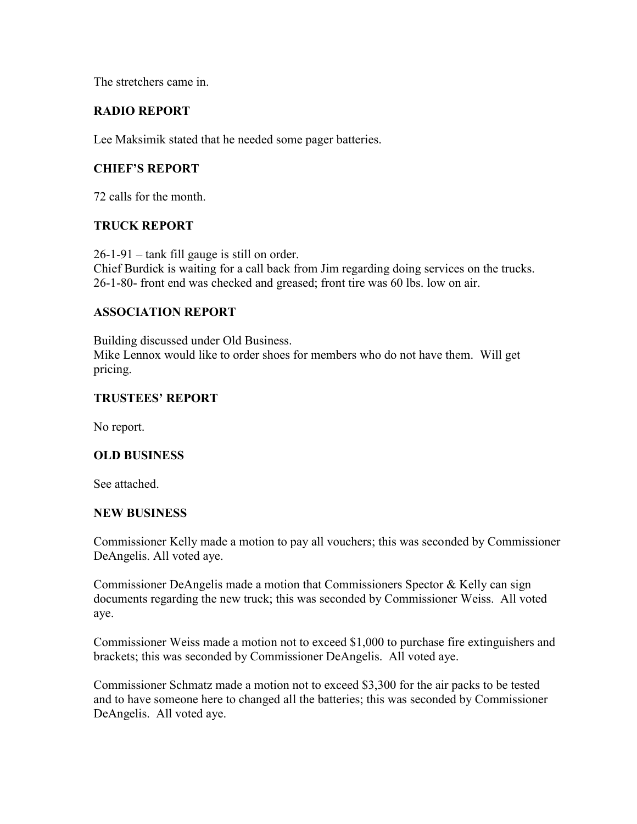The stretchers came in.

# **RADIO REPORT**

Lee Maksimik stated that he needed some pager batteries.

# **CHIEF'S REPORT**

72 calls for the month.

# **TRUCK REPORT**

26-1-91 – tank fill gauge is still on order. Chief Burdick is waiting for a call back from Jim regarding doing services on the trucks. 26-1-80- front end was checked and greased; front tire was 60 lbs. low on air.

### **ASSOCIATION REPORT**

Building discussed under Old Business. Mike Lennox would like to order shoes for members who do not have them. Will get pricing.

### **TRUSTEES' REPORT**

No report.

### **OLD BUSINESS**

See attached.

### **NEW BUSINESS**

Commissioner Kelly made a motion to pay all vouchers; this was seconded by Commissioner DeAngelis. All voted aye.

Commissioner DeAngelis made a motion that Commissioners Spector  $\&$  Kelly can sign documents regarding the new truck; this was seconded by Commissioner Weiss. All voted aye.

Commissioner Weiss made a motion not to exceed \$1,000 to purchase fire extinguishers and brackets; this was seconded by Commissioner DeAngelis. All voted aye.

Commissioner Schmatz made a motion not to exceed \$3,300 for the air packs to be tested and to have someone here to changed all the batteries; this was seconded by Commissioner DeAngelis. All voted aye.